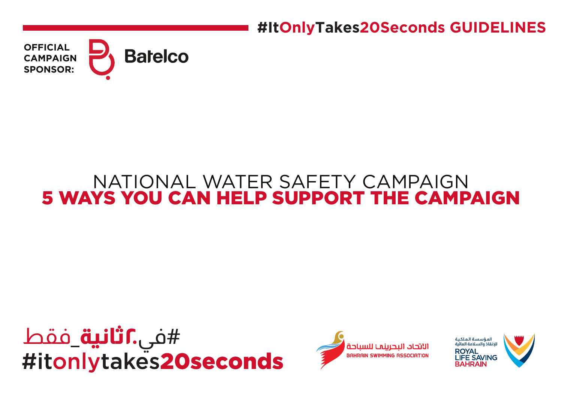

## NATIONAL WATER SAFETY CAMPAIGN **5 WAYS YOU CAN HELP SUPPORT THE CAMPAIGN**

في**.اثانية\_**فقط#<br>#itonlytakes**20seconds** 





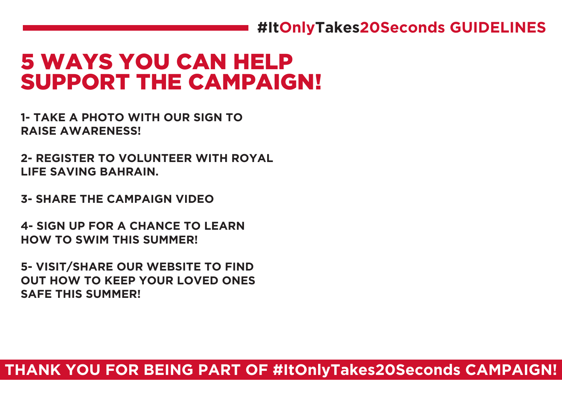# 5 WAYS YOU CAN HELP SUPPORT THE CAMPAIGN!

**1- TAKE A PHOTO WITH OUR SIGN TO RAISE AWARENESS!**

**2- REGISTER TO VOLUNTEER WITH ROYAL LIFE SAVING BAHRAIN.**

**3- SHARE THE CAMPAIGN VIDEO**

**4- SIGN UP FOR A CHANCE TO LEARN HOW TO SWIM THIS SUMMER!**

**5- VISIT/SHARE OUR WEBSITE TO FIND OUT HOW TO KEEP YOUR LOVED ONES SAFE THIS SUMMER!**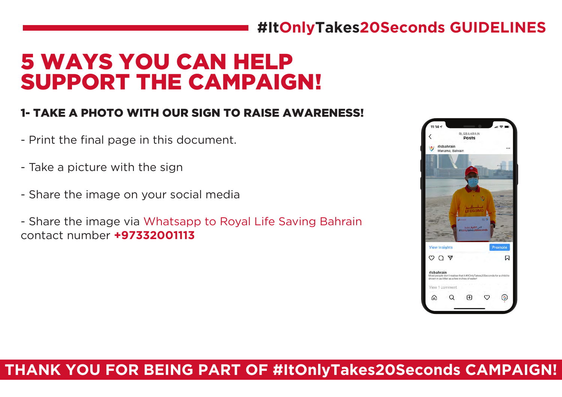# 5 WAYS YOU CAN HELP SUPPORT THE CAMPAIGN!

#### 1- TAKE A PHOTO WITH OUR SIGN TO RAISE AWARENESS!

- Print the final page in this document.
- Take a picture with the sign
- Share the image on your social media
- Share the image via Whatsapp to Royal Life Saving Bahrain contact number **+97332001113**

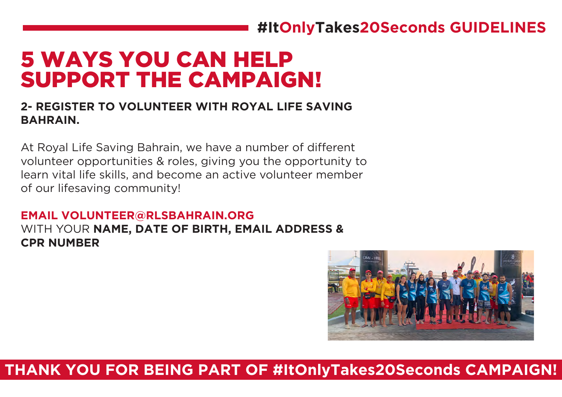# 5 WAYS YOU CAN HELP SUPPORT THE CAMPAIGN!

#### **2- REGISTER TO VOLUNTEER WITH ROYAL LIFE SAVING BAHRAIN.**

At Royal Life Saving Bahrain, we have a number of different volunteer opportunities & roles, giving you the opportunity to learn vital life skills, and become an active volunteer member of our lifesaving community!

#### **EMAIL VOLUNTEER@RLSBAHRAIN.ORG** WITH YOUR **NAME, DATE OF BIRTH, EMAIL ADDRESS & CPR NUMBER**

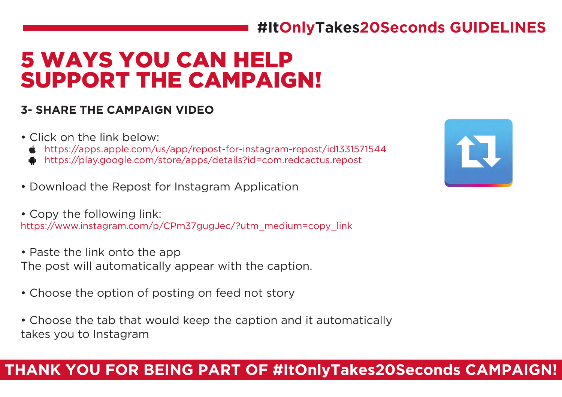# 5 WAYS YOU CAN HELP SUPPORT THE CAMPAIGN!

#### **3- SHARE THE CAMPAIGN VIDEO**

- Click on the link below:
	- https://apps.apple.com/us/app/repost-for-instagram-repost/id1331571544
	- https://play.google.com/store/apps/details?id=com.redcactus.repost
- Download the Repost for Instagram Application
- Copy the following link: https://www.instagram.com/p/CPm37gugJec/?utm\_medium=copy\_link
- Paste the link onto the app The post will automatically appear with the caption.
- Choose the option of posting on feed not story
- Choose the tab that would keep the caption and it automatically takes you to Instagram

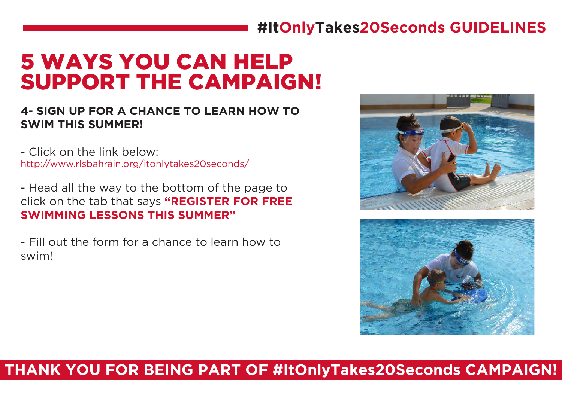# 5 WAYS YOU CAN HELP SUPPORT THE CAMPAIGN!

#### **4- SIGN UP FOR A CHANCE TO LEARN HOW TO SWIM THIS SUMMER!**

- Click on the link below: http://www.rlsbahrain.org/itonlytakes20seconds/

- Head all the way to the bottom of the page to click on the tab that says **"REGISTER FOR FREE SWIMMING LESSONS THIS SUMMER"**

- Fill out the form for a chance to learn how to swim!



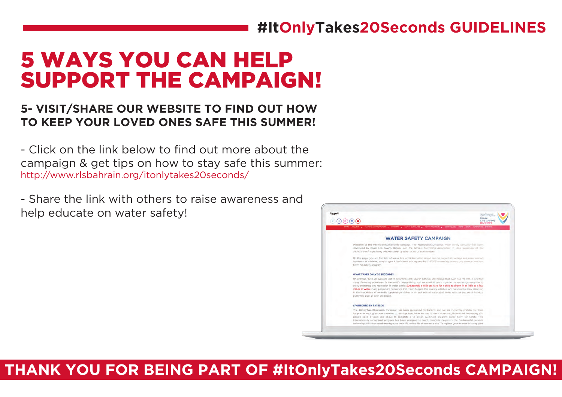# 5 WAYS YOU CAN HELP SUPPORT THE CAMPAIGN!

#### **5- VISIT/SHARE OUR WEBSITE TO FIND OUT HOW TO KEEP YOUR LOVED ONES SAFE THIS SUMMER!**

- Click on the link below to find out more about the campaign & get tips on how to stay safe this summer: http://www.rlsbahrain.org/itonlytakes20seconds/

- Share the link with others to raise awareness and help educate on water safety!